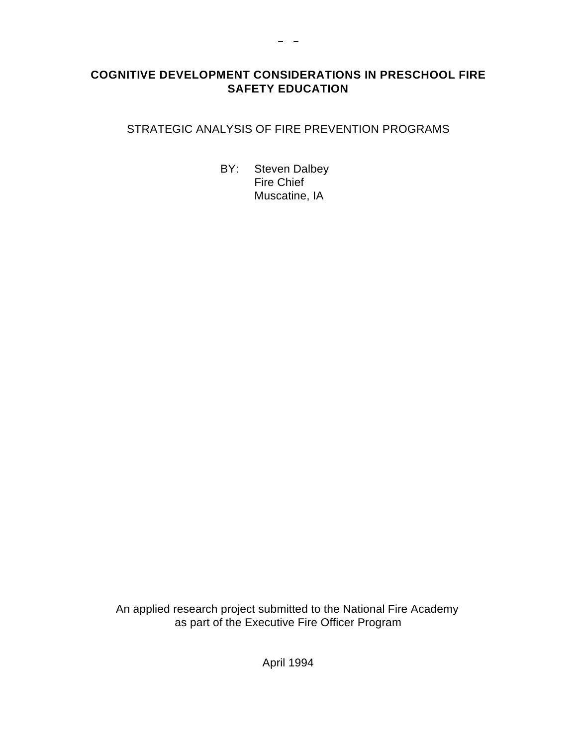# **COGNITIVE DEVELOPMENT CONSIDERATIONS IN PRESCHOOL FIRE SAFETY EDUCATION**

 $\frac{1}{2} \frac{1}{2} \frac{1}{2} \frac{1}{2} \frac{1}{2} \frac{1}{2} \frac{1}{2} \frac{1}{2} \frac{1}{2} \frac{1}{2} \frac{1}{2} \frac{1}{2} \frac{1}{2} \frac{1}{2} \frac{1}{2} \frac{1}{2} \frac{1}{2} \frac{1}{2} \frac{1}{2} \frac{1}{2} \frac{1}{2} \frac{1}{2} \frac{1}{2} \frac{1}{2} \frac{1}{2} \frac{1}{2} \frac{1}{2} \frac{1}{2} \frac{1}{2} \frac{1}{2} \frac{1}{2} \frac{$ 

# STRATEGIC ANALYSIS OF FIRE PREVENTION PROGRAMS

BY: Steven Dalbey Fire Chief Muscatine, IA

An applied research project submitted to the National Fire Academy as part of the Executive Fire Officer Program

April 1994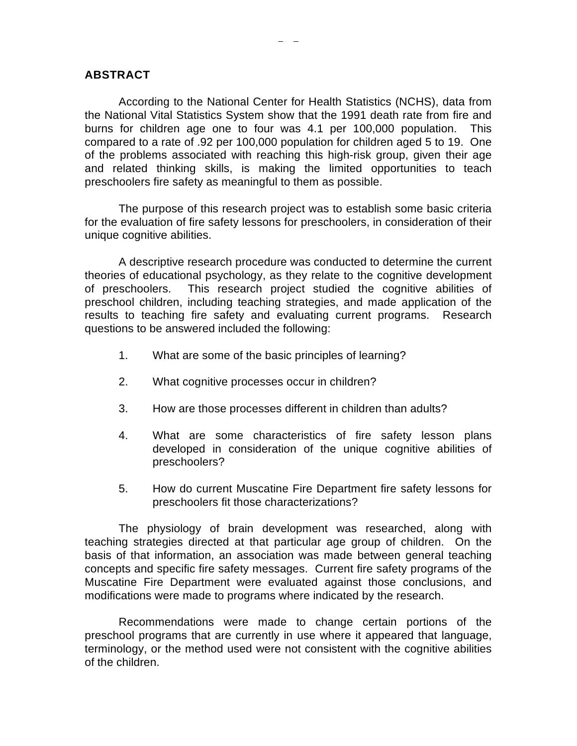#### **ABSTRACT**

According to the National Center for Health Statistics (NCHS), data from the National Vital Statistics System show that the 1991 death rate from fire and burns for children age one to four was 4.1 per 100,000 population. This compared to a rate of .92 per 100,000 population for children aged 5 to 19. One of the problems associated with reaching this high-risk group, given their age and related thinking skills, is making the limited opportunities to teach preschoolers fire safety as meaningful to them as possible.

The purpose of this research project was to establish some basic criteria for the evaluation of fire safety lessons for preschoolers, in consideration of their unique cognitive abilities.

A descriptive research procedure was conducted to determine the current theories of educational psychology, as they relate to the cognitive development of preschoolers. This research project studied the cognitive abilities of preschool children, including teaching strategies, and made application of the results to teaching fire safety and evaluating current programs. Research questions to be answered included the following:

- 1. What are some of the basic principles of learning?
- 2. What cognitive processes occur in children?
- 3. How are those processes different in children than adults?
- 4. What are some characteristics of fire safety lesson plans developed in consideration of the unique cognitive abilities of preschoolers?
- 5. How do current Muscatine Fire Department fire safety lessons for preschoolers fit those characterizations?

The physiology of brain development was researched, along with teaching strategies directed at that particular age group of children. On the basis of that information, an association was made between general teaching concepts and specific fire safety messages. Current fire safety programs of the Muscatine Fire Department were evaluated against those conclusions, and modifications were made to programs where indicated by the research.

Recommendations were made to change certain portions of the preschool programs that are currently in use where it appeared that language, terminology, or the method used were not consistent with the cognitive abilities of the children.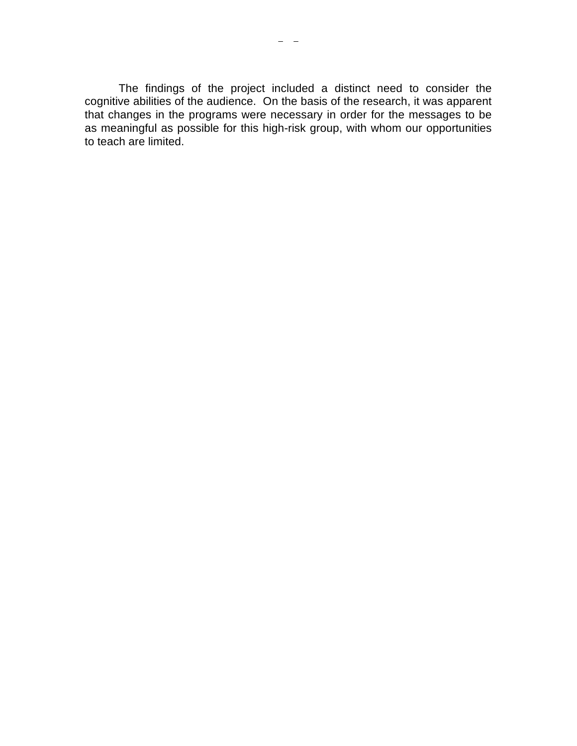The findings of the project included a distinct need to consider the cognitive abilities of the audience. On the basis of the research, it was apparent that changes in the programs were necessary in order for the messages to be as meaningful as possible for this high-risk group, with whom our opportunities to teach are limited.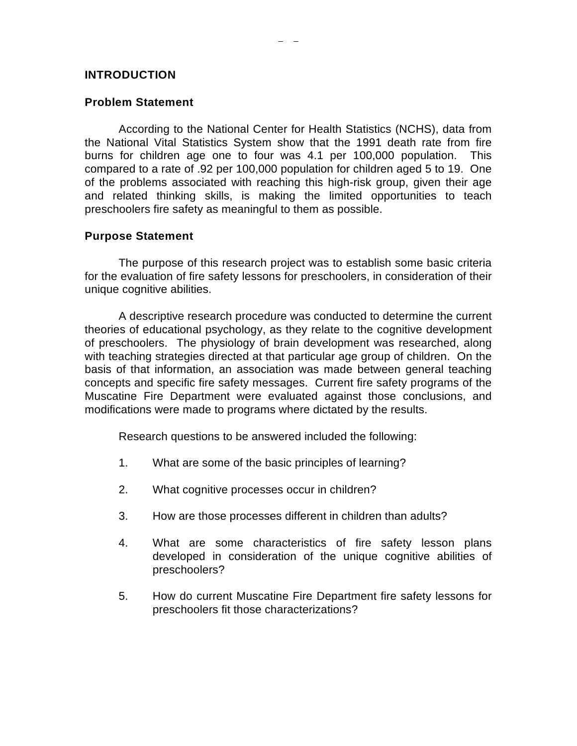### **INTRODUCTION**

### **Problem Statement**

According to the National Center for Health Statistics (NCHS), data from the National Vital Statistics System show that the 1991 death rate from fire burns for children age one to four was 4.1 per 100,000 population. This compared to a rate of .92 per 100,000 population for children aged 5 to 19. One of the problems associated with reaching this high-risk group, given their age and related thinking skills, is making the limited opportunities to teach preschoolers fire safety as meaningful to them as possible.

### **Purpose Statement**

The purpose of this research project was to establish some basic criteria for the evaluation of fire safety lessons for preschoolers, in consideration of their unique cognitive abilities.

A descriptive research procedure was conducted to determine the current theories of educational psychology, as they relate to the cognitive development of preschoolers. The physiology of brain development was researched, along with teaching strategies directed at that particular age group of children. On the basis of that information, an association was made between general teaching concepts and specific fire safety messages. Current fire safety programs of the Muscatine Fire Department were evaluated against those conclusions, and modifications were made to programs where dictated by the results.

Research questions to be answered included the following:

- 1. What are some of the basic principles of learning?
- 2. What cognitive processes occur in children?
- 3. How are those processes different in children than adults?
- 4. What are some characteristics of fire safety lesson plans developed in consideration of the unique cognitive abilities of preschoolers?
- 5. How do current Muscatine Fire Department fire safety lessons for preschoolers fit those characterizations?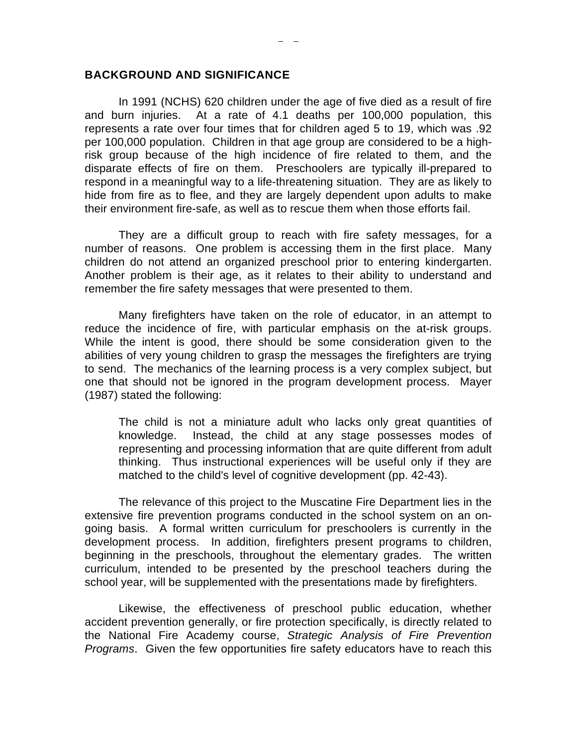#### **BACKGROUND AND SIGNIFICANCE**

In 1991 (NCHS) 620 children under the age of five died as a result of fire and burn injuries. At a rate of 4.1 deaths per 100,000 population, this represents a rate over four times that for children aged 5 to 19, which was .92 per 100,000 population. Children in that age group are considered to be a highrisk group because of the high incidence of fire related to them, and the disparate effects of fire on them. Preschoolers are typically ill-prepared to respond in a meaningful way to a life-threatening situation. They are as likely to hide from fire as to flee, and they are largely dependent upon adults to make their environment fire-safe, as well as to rescue them when those efforts fail.

They are a difficult group to reach with fire safety messages, for a number of reasons. One problem is accessing them in the first place. Many children do not attend an organized preschool prior to entering kindergarten. Another problem is their age, as it relates to their ability to understand and remember the fire safety messages that were presented to them.

Many firefighters have taken on the role of educator, in an attempt to reduce the incidence of fire, with particular emphasis on the at-risk groups. While the intent is good, there should be some consideration given to the abilities of very young children to grasp the messages the firefighters are trying to send. The mechanics of the learning process is a very complex subject, but one that should not be ignored in the program development process. Mayer (1987) stated the following:

The child is not a miniature adult who lacks only great quantities of knowledge. Instead, the child at any stage possesses modes of representing and processing information that are quite different from adult thinking. Thus instructional experiences will be useful only if they are matched to the child's level of cognitive development (pp. 42-43).

The relevance of this project to the Muscatine Fire Department lies in the extensive fire prevention programs conducted in the school system on an ongoing basis. A formal written curriculum for preschoolers is currently in the development process. In addition, firefighters present programs to children, beginning in the preschools, throughout the elementary grades. The written curriculum, intended to be presented by the preschool teachers during the school year, will be supplemented with the presentations made by firefighters.

Likewise, the effectiveness of preschool public education, whether accident prevention generally, or fire protection specifically, is directly related to the National Fire Academy course, *Strategic Analysis of Fire Prevention Programs*. Given the few opportunities fire safety educators have to reach this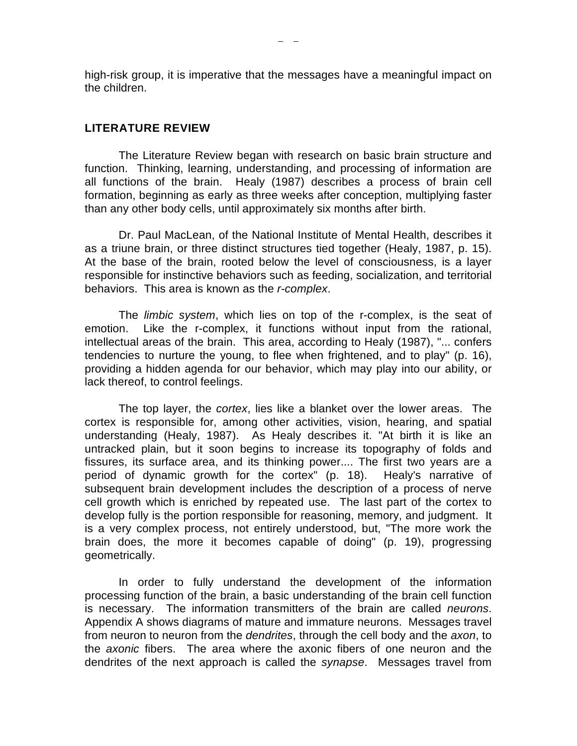high-risk group, it is imperative that the messages have a meaningful impact on the children.

#### **LITERATURE REVIEW**

The Literature Review began with research on basic brain structure and function. Thinking, learning, understanding, and processing of information are all functions of the brain. Healy (1987) describes a process of brain cell formation, beginning as early as three weeks after conception, multiplying faster than any other body cells, until approximately six months after birth.

Dr. Paul MacLean, of the National Institute of Mental Health, describes it as a triune brain, or three distinct structures tied together (Healy, 1987, p. 15). At the base of the brain, rooted below the level of consciousness, is a layer responsible for instinctive behaviors such as feeding, socialization, and territorial behaviors. This area is known as the *r-complex*.

The *limbic system*, which lies on top of the r-complex, is the seat of emotion. Like the r-complex, it functions without input from the rational, intellectual areas of the brain. This area, according to Healy (1987), "... confers tendencies to nurture the young, to flee when frightened, and to play" (p. 16), providing a hidden agenda for our behavior, which may play into our ability, or lack thereof, to control feelings.

The top layer, the *cortex*, lies like a blanket over the lower areas. The cortex is responsible for, among other activities, vision, hearing, and spatial understanding (Healy, 1987). As Healy describes it. "At birth it is like an untracked plain, but it soon begins to increase its topography of folds and fissures, its surface area, and its thinking power.... The first two years are a period of dynamic growth for the cortex" (p. 18). Healy's narrative of subsequent brain development includes the description of a process of nerve cell growth which is enriched by repeated use. The last part of the cortex to develop fully is the portion responsible for reasoning, memory, and judgment. It is a very complex process, not entirely understood, but, "The more work the brain does, the more it becomes capable of doing" (p. 19), progressing geometrically.

In order to fully understand the development of the information processing function of the brain, a basic understanding of the brain cell function is necessary. The information transmitters of the brain are called *neurons*. Appendix A shows diagrams of mature and immature neurons. Messages travel from neuron to neuron from the *dendrites*, through the cell body and the *axon*, to the *axonic* fibers. The area where the axonic fibers of one neuron and the dendrites of the next approach is called the *synapse*. Messages travel from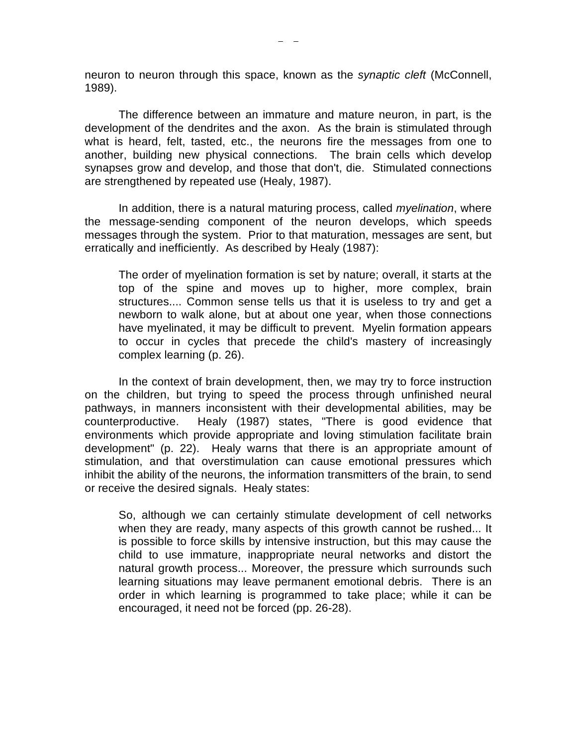neuron to neuron through this space, known as the *synaptic cleft* (McConnell, 1989).

The difference between an immature and mature neuron, in part, is the development of the dendrites and the axon. As the brain is stimulated through what is heard, felt, tasted, etc., the neurons fire the messages from one to another, building new physical connections. The brain cells which develop synapses grow and develop, and those that don't, die. Stimulated connections are strengthened by repeated use (Healy, 1987).

In addition, there is a natural maturing process, called *myelination*, where the message-sending component of the neuron develops, which speeds messages through the system. Prior to that maturation, messages are sent, but erratically and inefficiently. As described by Healy (1987):

The order of myelination formation is set by nature; overall, it starts at the top of the spine and moves up to higher, more complex, brain structures.... Common sense tells us that it is useless to try and get a newborn to walk alone, but at about one year, when those connections have myelinated, it may be difficult to prevent. Myelin formation appears to occur in cycles that precede the child's mastery of increasingly complex learning (p. 26).

In the context of brain development, then, we may try to force instruction on the children, but trying to speed the process through unfinished neural pathways, in manners inconsistent with their developmental abilities, may be counterproductive. Healy (1987) states, "There is good evidence that environments which provide appropriate and loving stimulation facilitate brain development" (p. 22). Healy warns that there is an appropriate amount of stimulation, and that overstimulation can cause emotional pressures which inhibit the ability of the neurons, the information transmitters of the brain, to send or receive the desired signals. Healy states:

So, although we can certainly stimulate development of cell networks when they are ready, many aspects of this growth cannot be rushed... It is possible to force skills by intensive instruction, but this may cause the child to use immature, inappropriate neural networks and distort the natural growth process... Moreover, the pressure which surrounds such learning situations may leave permanent emotional debris. There is an order in which learning is programmed to take place; while it can be encouraged, it need not be forced (pp. 26-28).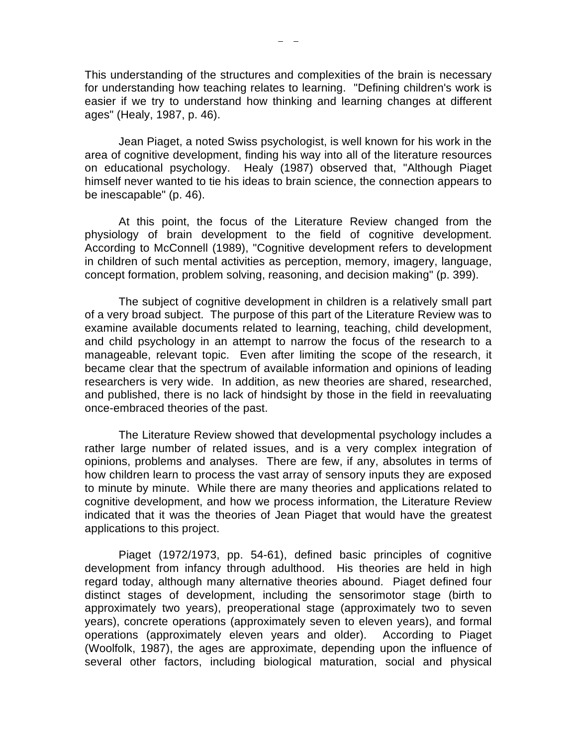This understanding of the structures and complexities of the brain is necessary for understanding how teaching relates to learning. "Defining children's work is easier if we try to understand how thinking and learning changes at different ages" (Healy, 1987, p. 46).

Jean Piaget, a noted Swiss psychologist, is well known for his work in the area of cognitive development, finding his way into all of the literature resources on educational psychology. Healy (1987) observed that, "Although Piaget himself never wanted to tie his ideas to brain science, the connection appears to be inescapable" (p. 46).

At this point, the focus of the Literature Review changed from the physiology of brain development to the field of cognitive development. According to McConnell (1989), "Cognitive development refers to development in children of such mental activities as perception, memory, imagery, language, concept formation, problem solving, reasoning, and decision making" (p. 399).

The subject of cognitive development in children is a relatively small part of a very broad subject. The purpose of this part of the Literature Review was to examine available documents related to learning, teaching, child development, and child psychology in an attempt to narrow the focus of the research to a manageable, relevant topic. Even after limiting the scope of the research, it became clear that the spectrum of available information and opinions of leading researchers is very wide. In addition, as new theories are shared, researched, and published, there is no lack of hindsight by those in the field in reevaluating once-embraced theories of the past.

The Literature Review showed that developmental psychology includes a rather large number of related issues, and is a very complex integration of opinions, problems and analyses. There are few, if any, absolutes in terms of how children learn to process the vast array of sensory inputs they are exposed to minute by minute. While there are many theories and applications related to cognitive development, and how we process information, the Literature Review indicated that it was the theories of Jean Piaget that would have the greatest applications to this project.

Piaget (1972/1973, pp. 54-61), defined basic principles of cognitive development from infancy through adulthood. His theories are held in high regard today, although many alternative theories abound. Piaget defined four distinct stages of development, including the sensorimotor stage (birth to approximately two years), preoperational stage (approximately two to seven years), concrete operations (approximately seven to eleven years), and formal operations (approximately eleven years and older). According to Piaget (Woolfolk, 1987), the ages are approximate, depending upon the influence of several other factors, including biological maturation, social and physical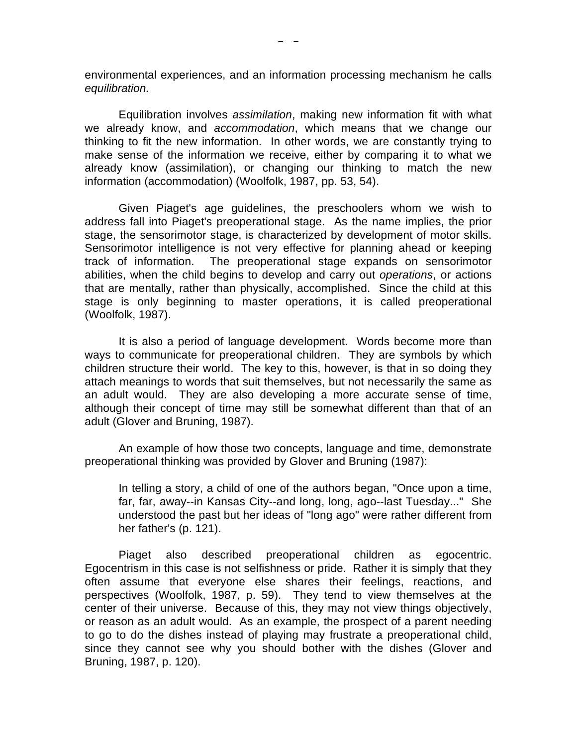environmental experiences, and an information processing mechanism he calls *equilibration.* 

Equilibration involves *assimilation*, making new information fit with what we already know, and *accommodation*, which means that we change our thinking to fit the new information. In other words, we are constantly trying to make sense of the information we receive, either by comparing it to what we already know (assimilation), or changing our thinking to match the new information (accommodation) (Woolfolk, 1987, pp. 53, 54).

Given Piaget's age guidelines, the preschoolers whom we wish to address fall into Piaget's preoperational stage. As the name implies, the prior stage, the sensorimotor stage, is characterized by development of motor skills. Sensorimotor intelligence is not very effective for planning ahead or keeping track of information. The preoperational stage expands on sensorimotor abilities, when the child begins to develop and carry out *operations*, or actions that are mentally, rather than physically, accomplished. Since the child at this stage is only beginning to master operations, it is called preoperational (Woolfolk, 1987).

It is also a period of language development. Words become more than ways to communicate for preoperational children. They are symbols by which children structure their world. The key to this, however, is that in so doing they attach meanings to words that suit themselves, but not necessarily the same as an adult would. They are also developing a more accurate sense of time, although their concept of time may still be somewhat different than that of an adult (Glover and Bruning, 1987).

An example of how those two concepts, language and time, demonstrate preoperational thinking was provided by Glover and Bruning (1987):

In telling a story, a child of one of the authors began, "Once upon a time, far, far, away--in Kansas City--and long, long, ago--last Tuesday..." She understood the past but her ideas of "long ago" were rather different from her father's (p. 121).

Piaget also described preoperational children as egocentric. Egocentrism in this case is not selfishness or pride. Rather it is simply that they often assume that everyone else shares their feelings, reactions, and perspectives (Woolfolk, 1987, p. 59). They tend to view themselves at the center of their universe. Because of this, they may not view things objectively, or reason as an adult would. As an example, the prospect of a parent needing to go to do the dishes instead of playing may frustrate a preoperational child, since they cannot see why you should bother with the dishes (Glover and Bruning, 1987, p. 120).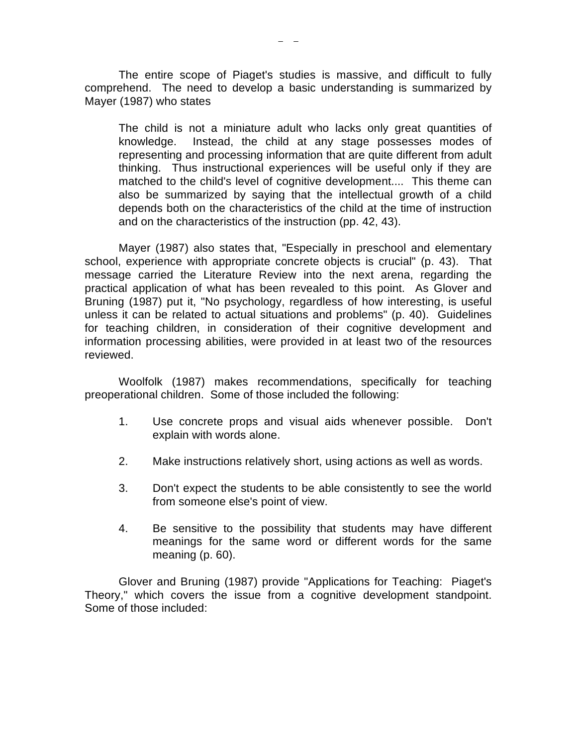The entire scope of Piaget's studies is massive, and difficult to fully comprehend. The need to develop a basic understanding is summarized by Mayer (1987) who states

The child is not a miniature adult who lacks only great quantities of knowledge. Instead, the child at any stage possesses modes of representing and processing information that are quite different from adult thinking. Thus instructional experiences will be useful only if they are matched to the child's level of cognitive development.... This theme can also be summarized by saying that the intellectual growth of a child depends both on the characteristics of the child at the time of instruction and on the characteristics of the instruction (pp. 42, 43).

Mayer (1987) also states that, "Especially in preschool and elementary school, experience with appropriate concrete objects is crucial" (p. 43). That message carried the Literature Review into the next arena, regarding the practical application of what has been revealed to this point. As Glover and Bruning (1987) put it, "No psychology, regardless of how interesting, is useful unless it can be related to actual situations and problems" (p. 40). Guidelines for teaching children, in consideration of their cognitive development and information processing abilities, were provided in at least two of the resources reviewed.

Woolfolk (1987) makes recommendations, specifically for teaching preoperational children. Some of those included the following:

- 1. Use concrete props and visual aids whenever possible. Don't explain with words alone.
- 2. Make instructions relatively short, using actions as well as words.
- 3. Don't expect the students to be able consistently to see the world from someone else's point of view.
- 4. Be sensitive to the possibility that students may have different meanings for the same word or different words for the same meaning (p. 60).

Glover and Bruning (1987) provide "Applications for Teaching: Piaget's Theory," which covers the issue from a cognitive development standpoint. Some of those included: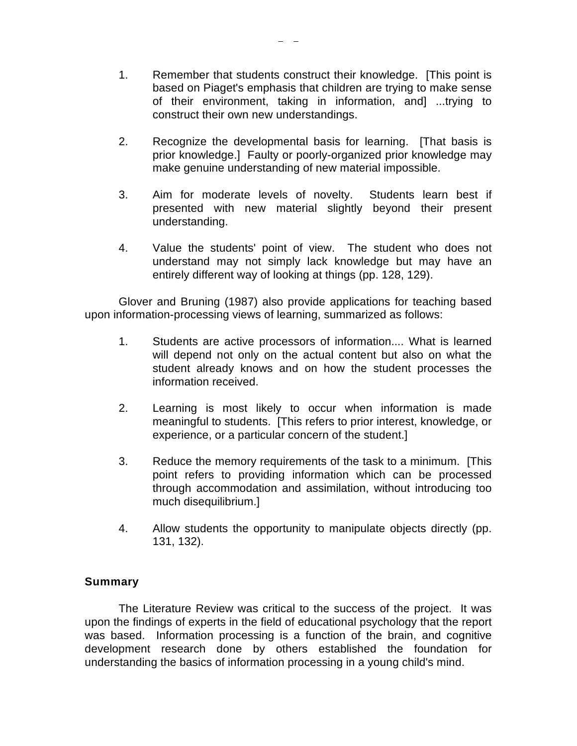- 1. Remember that students construct their knowledge. [This point is based on Piaget's emphasis that children are trying to make sense of their environment, taking in information, and] ...trying to construct their own new understandings.
- 2. Recognize the developmental basis for learning. [That basis is prior knowledge.] Faulty or poorly-organized prior knowledge may make genuine understanding of new material impossible.
- 3. Aim for moderate levels of novelty. Students learn best if presented with new material slightly beyond their present understanding.
- 4. Value the students' point of view. The student who does not understand may not simply lack knowledge but may have an entirely different way of looking at things (pp. 128, 129).

Glover and Bruning (1987) also provide applications for teaching based upon information-processing views of learning, summarized as follows:

- 1. Students are active processors of information.... What is learned will depend not only on the actual content but also on what the student already knows and on how the student processes the information received.
- 2. Learning is most likely to occur when information is made meaningful to students. [This refers to prior interest, knowledge, or experience, or a particular concern of the student.]
- 3. Reduce the memory requirements of the task to a minimum. [This point refers to providing information which can be processed through accommodation and assimilation, without introducing too much disequilibrium.]
- 4. Allow students the opportunity to manipulate objects directly (pp. 131, 132).

# **Summary**

The Literature Review was critical to the success of the project. It was upon the findings of experts in the field of educational psychology that the report was based. Information processing is a function of the brain, and cognitive development research done by others established the foundation for understanding the basics of information processing in a young child's mind.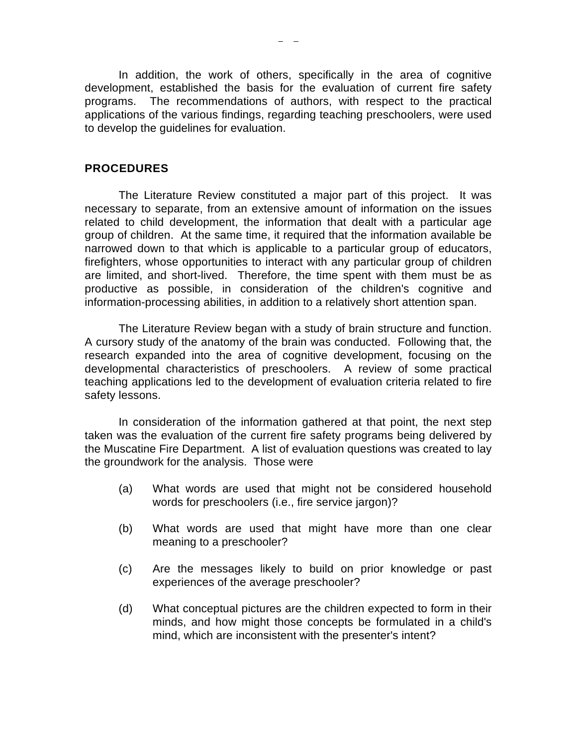In addition, the work of others, specifically in the area of cognitive development, established the basis for the evaluation of current fire safety programs. The recommendations of authors, with respect to the practical applications of the various findings, regarding teaching preschoolers, were used to develop the guidelines for evaluation.

#### **PROCEDURES**

The Literature Review constituted a major part of this project. It was necessary to separate, from an extensive amount of information on the issues related to child development, the information that dealt with a particular age group of children. At the same time, it required that the information available be narrowed down to that which is applicable to a particular group of educators, firefighters, whose opportunities to interact with any particular group of children are limited, and short-lived. Therefore, the time spent with them must be as productive as possible, in consideration of the children's cognitive and information-processing abilities, in addition to a relatively short attention span.

The Literature Review began with a study of brain structure and function. A cursory study of the anatomy of the brain was conducted. Following that, the research expanded into the area of cognitive development, focusing on the developmental characteristics of preschoolers. A review of some practical teaching applications led to the development of evaluation criteria related to fire safety lessons.

In consideration of the information gathered at that point, the next step taken was the evaluation of the current fire safety programs being delivered by the Muscatine Fire Department. A list of evaluation questions was created to lay the groundwork for the analysis. Those were

- (a) What words are used that might not be considered household words for preschoolers (i.e., fire service jargon)?
- (b) What words are used that might have more than one clear meaning to a preschooler?
- (c) Are the messages likely to build on prior knowledge or past experiences of the average preschooler?
- (d) What conceptual pictures are the children expected to form in their minds, and how might those concepts be formulated in a child's mind, which are inconsistent with the presenter's intent?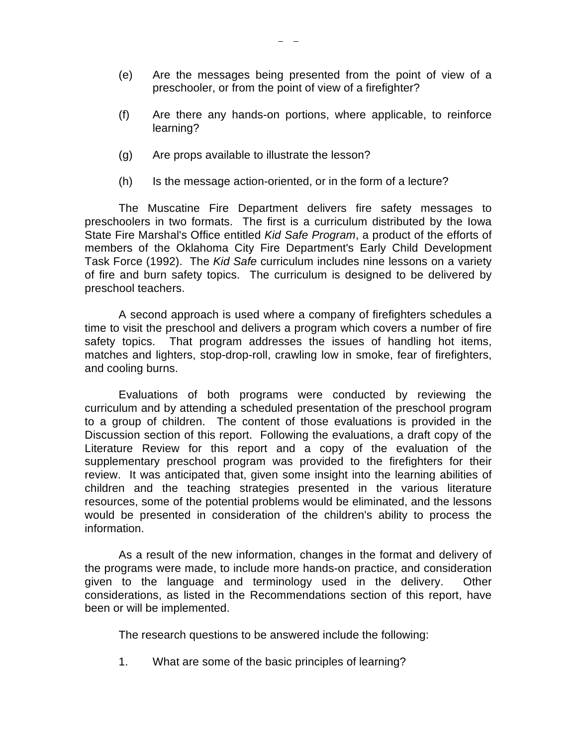- (e) Are the messages being presented from the point of view of a preschooler, or from the point of view of a firefighter?
- (f) Are there any hands-on portions, where applicable, to reinforce learning?
- (g) Are props available to illustrate the lesson?
- (h) Is the message action-oriented, or in the form of a lecture?

The Muscatine Fire Department delivers fire safety messages to preschoolers in two formats. The first is a curriculum distributed by the Iowa State Fire Marshal's Office entitled *Kid Safe Program*, a product of the efforts of members of the Oklahoma City Fire Department's Early Child Development Task Force (1992). The *Kid Safe* curriculum includes nine lessons on a variety of fire and burn safety topics. The curriculum is designed to be delivered by preschool teachers.

A second approach is used where a company of firefighters schedules a time to visit the preschool and delivers a program which covers a number of fire safety topics. That program addresses the issues of handling hot items, matches and lighters, stop-drop-roll, crawling low in smoke, fear of firefighters, and cooling burns.

Evaluations of both programs were conducted by reviewing the curriculum and by attending a scheduled presentation of the preschool program to a group of children. The content of those evaluations is provided in the Discussion section of this report. Following the evaluations, a draft copy of the Literature Review for this report and a copy of the evaluation of the supplementary preschool program was provided to the firefighters for their review. It was anticipated that, given some insight into the learning abilities of children and the teaching strategies presented in the various literature resources, some of the potential problems would be eliminated, and the lessons would be presented in consideration of the children's ability to process the information.

As a result of the new information, changes in the format and delivery of the programs were made, to include more hands-on practice, and consideration given to the language and terminology used in the delivery. Other considerations, as listed in the Recommendations section of this report, have been or will be implemented.

The research questions to be answered include the following:

1. What are some of the basic principles of learning?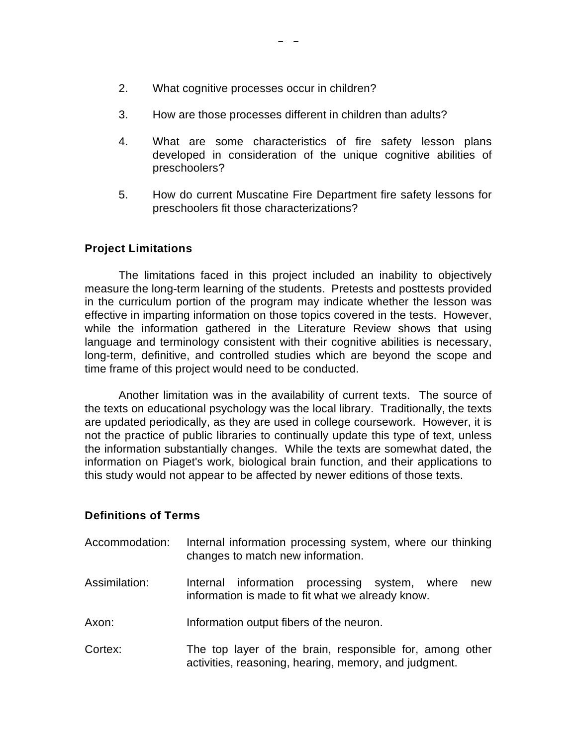- 2. What cognitive processes occur in children?
- 3. How are those processes different in children than adults?
- 4. What are some characteristics of fire safety lesson plans developed in consideration of the unique cognitive abilities of preschoolers?
- 5. How do current Muscatine Fire Department fire safety lessons for preschoolers fit those characterizations?

# **Project Limitations**

The limitations faced in this project included an inability to objectively measure the long-term learning of the students. Pretests and posttests provided in the curriculum portion of the program may indicate whether the lesson was effective in imparting information on those topics covered in the tests. However, while the information gathered in the Literature Review shows that using language and terminology consistent with their cognitive abilities is necessary, long-term, definitive, and controlled studies which are beyond the scope and time frame of this project would need to be conducted.

Another limitation was in the availability of current texts. The source of the texts on educational psychology was the local library. Traditionally, the texts are updated periodically, as they are used in college coursework. However, it is not the practice of public libraries to continually update this type of text, unless the information substantially changes. While the texts are somewhat dated, the information on Piaget's work, biological brain function, and their applications to this study would not appear to be affected by newer editions of those texts.

# **Definitions of Terms**

| Accommodation: | Internal information processing system, where our thinking<br>changes to match new information.                   |
|----------------|-------------------------------------------------------------------------------------------------------------------|
| Assimilation:  | Internal information processing system, where<br>new<br>information is made to fit what we already know.          |
| Axon:          | Information output fibers of the neuron.                                                                          |
| Cortex:        | The top layer of the brain, responsible for, among other<br>activities, reasoning, hearing, memory, and judgment. |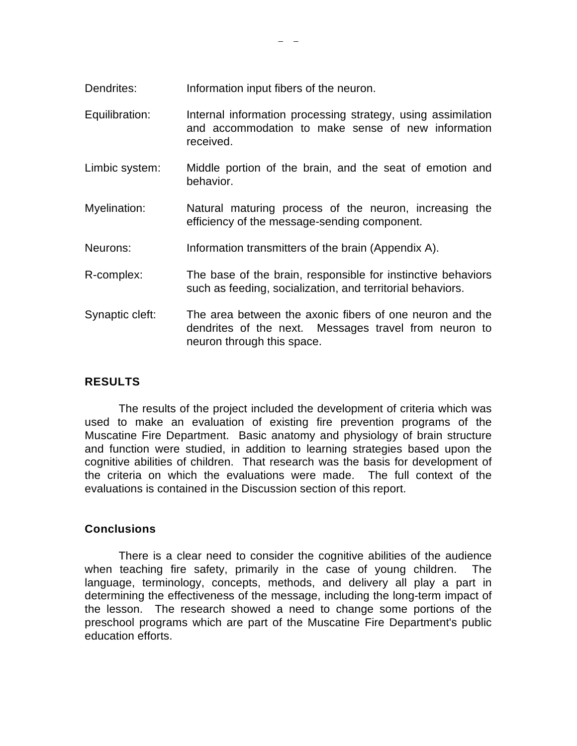- Dendrites: Information input fibers of the neuron.
- Equilibration: Internal information processing strategy, using assimilation and accommodation to make sense of new information received.
- Limbic system: Middle portion of the brain, and the seat of emotion and behavior.
- Myelination: Natural maturing process of the neuron, increasing the efficiency of the message-sending component.
- Neurons: Information transmitters of the brain (Appendix A).
- R-complex: The base of the brain, responsible for instinctive behaviors such as feeding, socialization, and territorial behaviors.
- Synaptic cleft: The area between the axonic fibers of one neuron and the dendrites of the next. Messages travel from neuron to neuron through this space.

# **RESULTS**

The results of the project included the development of criteria which was used to make an evaluation of existing fire prevention programs of the Muscatine Fire Department. Basic anatomy and physiology of brain structure and function were studied, in addition to learning strategies based upon the cognitive abilities of children. That research was the basis for development of the criteria on which the evaluations were made. The full context of the evaluations is contained in the Discussion section of this report.

# **Conclusions**

There is a clear need to consider the cognitive abilities of the audience when teaching fire safety, primarily in the case of young children. The language, terminology, concepts, methods, and delivery all play a part in determining the effectiveness of the message, including the long-term impact of the lesson. The research showed a need to change some portions of the preschool programs which are part of the Muscatine Fire Department's public education efforts.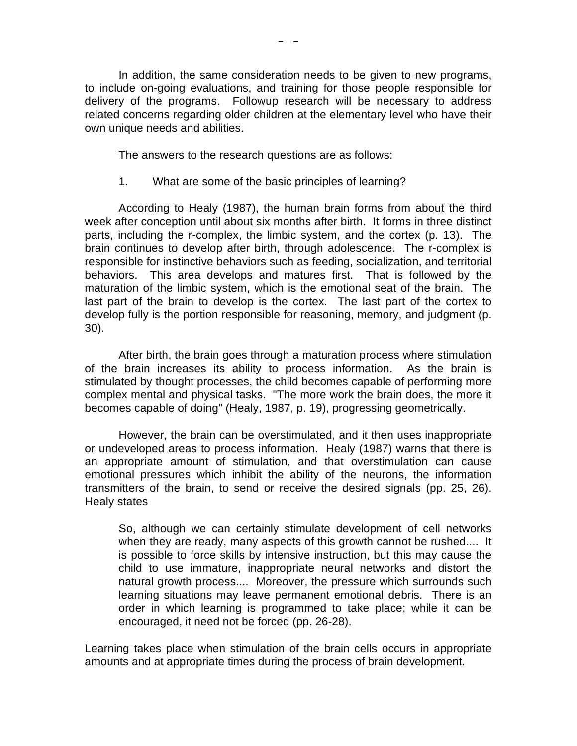In addition, the same consideration needs to be given to new programs, to include on-going evaluations, and training for those people responsible for delivery of the programs. Followup research will be necessary to address related concerns regarding older children at the elementary level who have their own unique needs and abilities.

The answers to the research questions are as follows:

1. What are some of the basic principles of learning?

According to Healy (1987), the human brain forms from about the third week after conception until about six months after birth. It forms in three distinct parts, including the r-complex, the limbic system, and the cortex (p. 13). The brain continues to develop after birth, through adolescence. The r-complex is responsible for instinctive behaviors such as feeding, socialization, and territorial behaviors. This area develops and matures first. That is followed by the maturation of the limbic system, which is the emotional seat of the brain. The last part of the brain to develop is the cortex. The last part of the cortex to develop fully is the portion responsible for reasoning, memory, and judgment (p. 30).

After birth, the brain goes through a maturation process where stimulation of the brain increases its ability to process information. As the brain is stimulated by thought processes, the child becomes capable of performing more complex mental and physical tasks. "The more work the brain does, the more it becomes capable of doing" (Healy, 1987, p. 19), progressing geometrically.

However, the brain can be overstimulated, and it then uses inappropriate or undeveloped areas to process information. Healy (1987) warns that there is an appropriate amount of stimulation, and that overstimulation can cause emotional pressures which inhibit the ability of the neurons, the information transmitters of the brain, to send or receive the desired signals (pp. 25, 26). Healy states

So, although we can certainly stimulate development of cell networks when they are ready, many aspects of this growth cannot be rushed.... It is possible to force skills by intensive instruction, but this may cause the child to use immature, inappropriate neural networks and distort the natural growth process.... Moreover, the pressure which surrounds such learning situations may leave permanent emotional debris. There is an order in which learning is programmed to take place; while it can be encouraged, it need not be forced (pp. 26-28).

Learning takes place when stimulation of the brain cells occurs in appropriate amounts and at appropriate times during the process of brain development.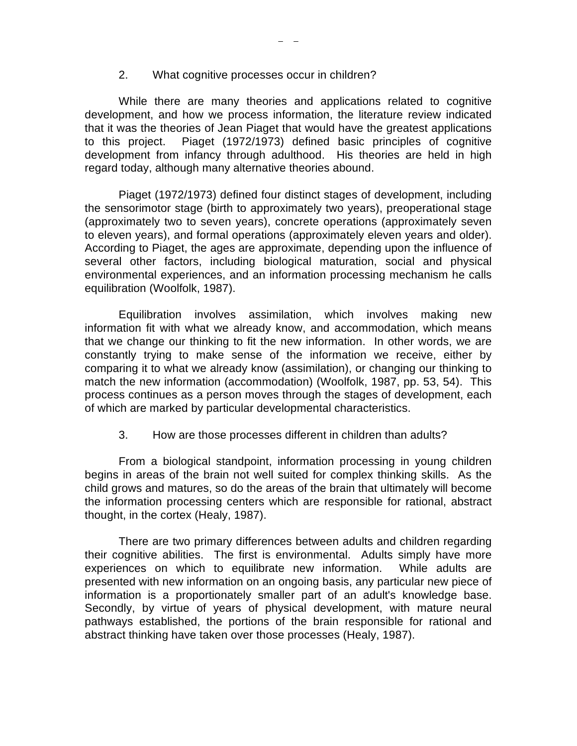#### 2. What cognitive processes occur in children?

While there are many theories and applications related to cognitive development, and how we process information, the literature review indicated that it was the theories of Jean Piaget that would have the greatest applications to this project. Piaget (1972/1973) defined basic principles of cognitive development from infancy through adulthood. His theories are held in high regard today, although many alternative theories abound.

Piaget (1972/1973) defined four distinct stages of development, including the sensorimotor stage (birth to approximately two years), preoperational stage (approximately two to seven years), concrete operations (approximately seven to eleven years), and formal operations (approximately eleven years and older). According to Piaget, the ages are approximate, depending upon the influence of several other factors, including biological maturation, social and physical environmental experiences, and an information processing mechanism he calls equilibration (Woolfolk, 1987).

Equilibration involves assimilation, which involves making new information fit with what we already know, and accommodation, which means that we change our thinking to fit the new information. In other words, we are constantly trying to make sense of the information we receive, either by comparing it to what we already know (assimilation), or changing our thinking to match the new information (accommodation) (Woolfolk, 1987, pp. 53, 54). This process continues as a person moves through the stages of development, each of which are marked by particular developmental characteristics.

3. How are those processes different in children than adults?

From a biological standpoint, information processing in young children begins in areas of the brain not well suited for complex thinking skills. As the child grows and matures, so do the areas of the brain that ultimately will become the information processing centers which are responsible for rational, abstract thought, in the cortex (Healy, 1987).

There are two primary differences between adults and children regarding their cognitive abilities. The first is environmental. Adults simply have more experiences on which to equilibrate new information. While adults are presented with new information on an ongoing basis, any particular new piece of information is a proportionately smaller part of an adult's knowledge base. Secondly, by virtue of years of physical development, with mature neural pathways established, the portions of the brain responsible for rational and abstract thinking have taken over those processes (Healy, 1987).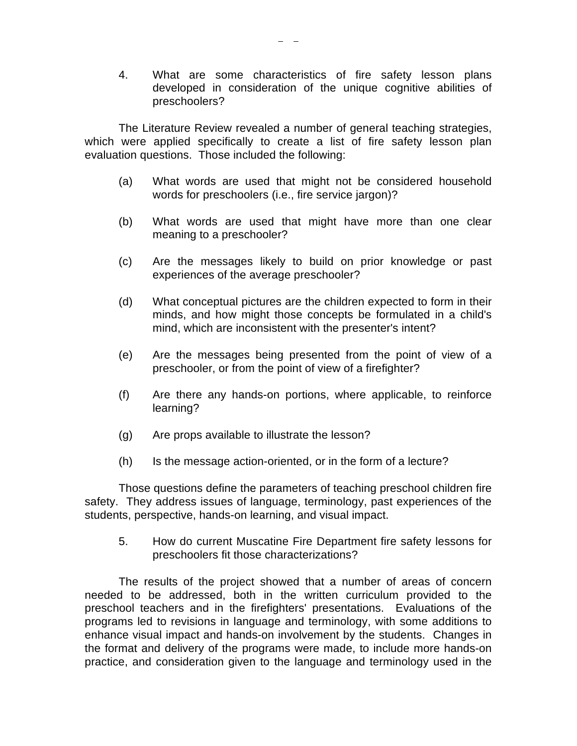4. What are some characteristics of fire safety lesson plans developed in consideration of the unique cognitive abilities of preschoolers?

The Literature Review revealed a number of general teaching strategies, which were applied specifically to create a list of fire safety lesson plan evaluation questions. Those included the following:

- (a) What words are used that might not be considered household words for preschoolers (i.e., fire service jargon)?
- (b) What words are used that might have more than one clear meaning to a preschooler?
- (c) Are the messages likely to build on prior knowledge or past experiences of the average preschooler?
- (d) What conceptual pictures are the children expected to form in their minds, and how might those concepts be formulated in a child's mind, which are inconsistent with the presenter's intent?
- (e) Are the messages being presented from the point of view of a preschooler, or from the point of view of a firefighter?
- (f) Are there any hands-on portions, where applicable, to reinforce learning?
- (g) Are props available to illustrate the lesson?
- (h) Is the message action-oriented, or in the form of a lecture?

Those questions define the parameters of teaching preschool children fire safety. They address issues of language, terminology, past experiences of the students, perspective, hands-on learning, and visual impact.

5. How do current Muscatine Fire Department fire safety lessons for preschoolers fit those characterizations?

The results of the project showed that a number of areas of concern needed to be addressed, both in the written curriculum provided to the preschool teachers and in the firefighters' presentations. Evaluations of the programs led to revisions in language and terminology, with some additions to enhance visual impact and hands-on involvement by the students. Changes in the format and delivery of the programs were made, to include more hands-on practice, and consideration given to the language and terminology used in the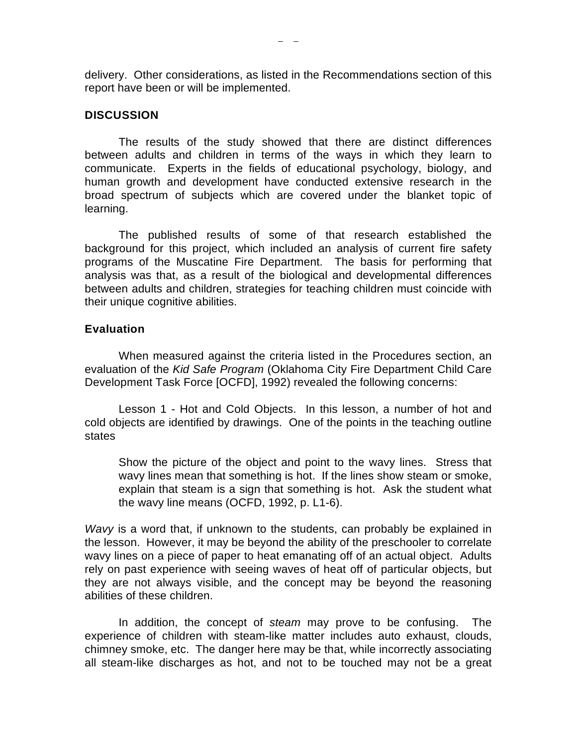delivery. Other considerations, as listed in the Recommendations section of this report have been or will be implemented.

### **DISCUSSION**

The results of the study showed that there are distinct differences between adults and children in terms of the ways in which they learn to communicate. Experts in the fields of educational psychology, biology, and human growth and development have conducted extensive research in the broad spectrum of subjects which are covered under the blanket topic of learning.

The published results of some of that research established the background for this project, which included an analysis of current fire safety programs of the Muscatine Fire Department. The basis for performing that analysis was that, as a result of the biological and developmental differences between adults and children, strategies for teaching children must coincide with their unique cognitive abilities.

### **Evaluation**

When measured against the criteria listed in the Procedures section, an evaluation of the *Kid Safe Program* (Oklahoma City Fire Department Child Care Development Task Force [OCFD], 1992) revealed the following concerns:

Lesson 1 - Hot and Cold Objects. In this lesson, a number of hot and cold objects are identified by drawings. One of the points in the teaching outline states

Show the picture of the object and point to the wavy lines. Stress that wavy lines mean that something is hot. If the lines show steam or smoke, explain that steam is a sign that something is hot. Ask the student what the wavy line means (OCFD, 1992, p. L1-6).

*Wavy* is a word that, if unknown to the students, can probably be explained in the lesson. However, it may be beyond the ability of the preschooler to correlate wavy lines on a piece of paper to heat emanating off of an actual object. Adults rely on past experience with seeing waves of heat off of particular objects, but they are not always visible, and the concept may be beyond the reasoning abilities of these children.

In addition, the concept of *steam* may prove to be confusing. The experience of children with steam-like matter includes auto exhaust, clouds, chimney smoke, etc. The danger here may be that, while incorrectly associating all steam-like discharges as hot, and not to be touched may not be a great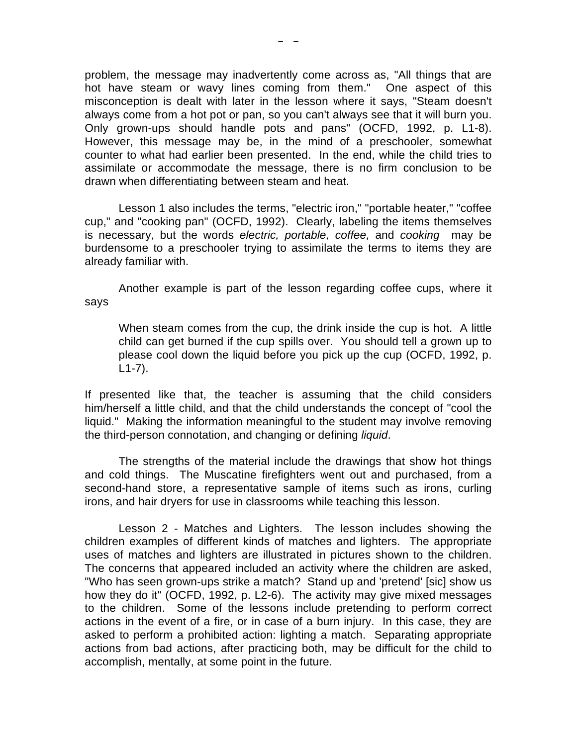problem, the message may inadvertently come across as, "All things that are hot have steam or wavy lines coming from them." One aspect of this misconception is dealt with later in the lesson where it says, "Steam doesn't always come from a hot pot or pan, so you can't always see that it will burn you. Only grown-ups should handle pots and pans" (OCFD, 1992, p. L1-8). However, this message may be, in the mind of a preschooler, somewhat counter to what had earlier been presented. In the end, while the child tries to assimilate or accommodate the message, there is no firm conclusion to be drawn when differentiating between steam and heat.

Lesson 1 also includes the terms, "electric iron," "portable heater," "coffee cup," and "cooking pan" (OCFD, 1992). Clearly, labeling the items themselves is necessary, but the words *electric, portable, coffee,* and *cooking* may be burdensome to a preschooler trying to assimilate the terms to items they are already familiar with.

Another example is part of the lesson regarding coffee cups, where it says

When steam comes from the cup, the drink inside the cup is hot. A little child can get burned if the cup spills over. You should tell a grown up to please cool down the liquid before you pick up the cup (OCFD, 1992, p. L1-7).

If presented like that, the teacher is assuming that the child considers him/herself a little child, and that the child understands the concept of "cool the liquid." Making the information meaningful to the student may involve removing the third-person connotation, and changing or defining *liquid*.

The strengths of the material include the drawings that show hot things and cold things. The Muscatine firefighters went out and purchased, from a second-hand store, a representative sample of items such as irons, curling irons, and hair dryers for use in classrooms while teaching this lesson.

Lesson 2 - Matches and Lighters. The lesson includes showing the children examples of different kinds of matches and lighters. The appropriate uses of matches and lighters are illustrated in pictures shown to the children. The concerns that appeared included an activity where the children are asked, "Who has seen grown-ups strike a match? Stand up and 'pretend' [sic] show us how they do it" (OCFD, 1992, p. L2-6). The activity may give mixed messages to the children. Some of the lessons include pretending to perform correct actions in the event of a fire, or in case of a burn injury. In this case, they are asked to perform a prohibited action: lighting a match. Separating appropriate actions from bad actions, after practicing both, may be difficult for the child to accomplish, mentally, at some point in the future.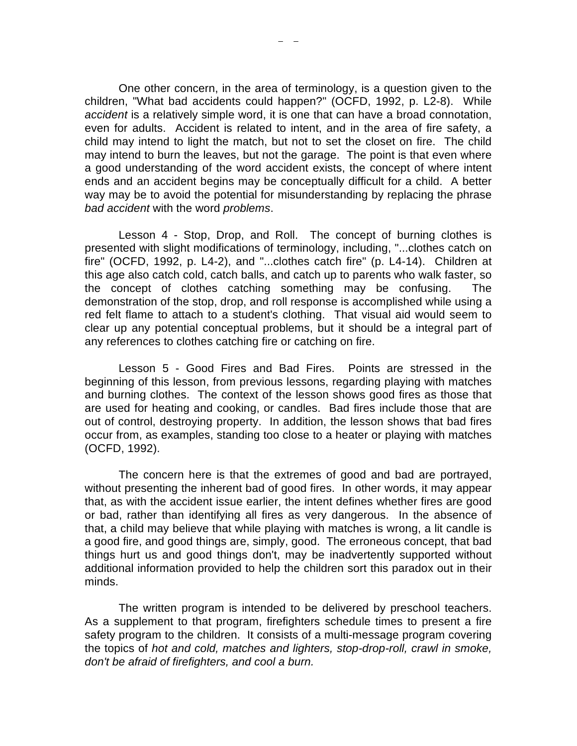One other concern, in the area of terminology, is a question given to the children, "What bad accidents could happen?" (OCFD, 1992, p. L2-8). While *accident* is a relatively simple word, it is one that can have a broad connotation, even for adults. Accident is related to intent, and in the area of fire safety, a child may intend to light the match, but not to set the closet on fire. The child may intend to burn the leaves, but not the garage. The point is that even where a good understanding of the word accident exists, the concept of where intent ends and an accident begins may be conceptually difficult for a child. A better way may be to avoid the potential for misunderstanding by replacing the phrase *bad accident* with the word *problems*.

Lesson 4 - Stop, Drop, and Roll. The concept of burning clothes is presented with slight modifications of terminology, including, "...clothes catch on fire" (OCFD, 1992, p. L4-2), and "...clothes catch fire" (p. L4-14). Children at this age also catch cold, catch balls, and catch up to parents who walk faster, so the concept of clothes catching something may be confusing. The demonstration of the stop, drop, and roll response is accomplished while using a red felt flame to attach to a student's clothing. That visual aid would seem to clear up any potential conceptual problems, but it should be a integral part of any references to clothes catching fire or catching on fire.

Lesson 5 - Good Fires and Bad Fires. Points are stressed in the beginning of this lesson, from previous lessons, regarding playing with matches and burning clothes. The context of the lesson shows good fires as those that are used for heating and cooking, or candles. Bad fires include those that are out of control, destroying property. In addition, the lesson shows that bad fires occur from, as examples, standing too close to a heater or playing with matches (OCFD, 1992).

The concern here is that the extremes of good and bad are portrayed, without presenting the inherent bad of good fires. In other words, it may appear that, as with the accident issue earlier, the intent defines whether fires are good or bad, rather than identifying all fires as very dangerous. In the absence of that, a child may believe that while playing with matches is wrong, a lit candle is a good fire, and good things are, simply, good. The erroneous concept, that bad things hurt us and good things don't, may be inadvertently supported without additional information provided to help the children sort this paradox out in their minds.

The written program is intended to be delivered by preschool teachers. As a supplement to that program, firefighters schedule times to present a fire safety program to the children. It consists of a multi-message program covering the topics of *hot and cold, matches and lighters, stop-drop-roll, crawl in smoke, don't be afraid of firefighters, and cool a burn.*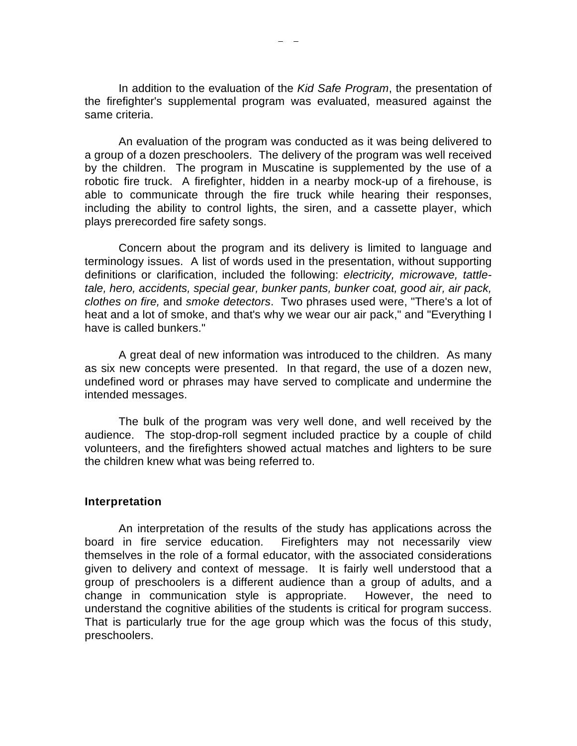In addition to the evaluation of the *Kid Safe Program*, the presentation of the firefighter's supplemental program was evaluated, measured against the same criteria.

An evaluation of the program was conducted as it was being delivered to a group of a dozen preschoolers. The delivery of the program was well received by the children. The program in Muscatine is supplemented by the use of a robotic fire truck. A firefighter, hidden in a nearby mock-up of a firehouse, is able to communicate through the fire truck while hearing their responses, including the ability to control lights, the siren, and a cassette player, which plays prerecorded fire safety songs.

Concern about the program and its delivery is limited to language and terminology issues. A list of words used in the presentation, without supporting definitions or clarification, included the following: *electricity, microwave, tattletale, hero, accidents, special gear, bunker pants, bunker coat, good air, air pack, clothes on fire,* and *smoke detectors*. Two phrases used were, "There's a lot of heat and a lot of smoke, and that's why we wear our air pack," and "Everything I have is called bunkers."

A great deal of new information was introduced to the children. As many as six new concepts were presented. In that regard, the use of a dozen new, undefined word or phrases may have served to complicate and undermine the intended messages.

The bulk of the program was very well done, and well received by the audience. The stop-drop-roll segment included practice by a couple of child volunteers, and the firefighters showed actual matches and lighters to be sure the children knew what was being referred to.

#### **Interpretation**

An interpretation of the results of the study has applications across the board in fire service education. Firefighters may not necessarily view themselves in the role of a formal educator, with the associated considerations given to delivery and context of message. It is fairly well understood that a group of preschoolers is a different audience than a group of adults, and a change in communication style is appropriate. However, the need to understand the cognitive abilities of the students is critical for program success. That is particularly true for the age group which was the focus of this study, preschoolers.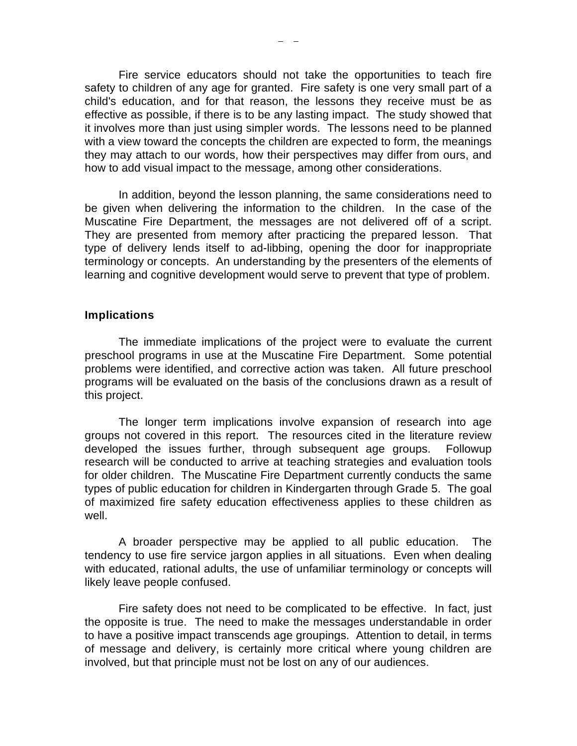Fire service educators should not take the opportunities to teach fire safety to children of any age for granted. Fire safety is one very small part of a child's education, and for that reason, the lessons they receive must be as effective as possible, if there is to be any lasting impact. The study showed that it involves more than just using simpler words. The lessons need to be planned with a view toward the concepts the children are expected to form, the meanings they may attach to our words, how their perspectives may differ from ours, and how to add visual impact to the message, among other considerations.

In addition, beyond the lesson planning, the same considerations need to be given when delivering the information to the children. In the case of the Muscatine Fire Department, the messages are not delivered off of a script. They are presented from memory after practicing the prepared lesson. That type of delivery lends itself to ad-libbing, opening the door for inappropriate terminology or concepts. An understanding by the presenters of the elements of learning and cognitive development would serve to prevent that type of problem.

#### **Implications**

The immediate implications of the project were to evaluate the current preschool programs in use at the Muscatine Fire Department. Some potential problems were identified, and corrective action was taken. All future preschool programs will be evaluated on the basis of the conclusions drawn as a result of this project.

The longer term implications involve expansion of research into age groups not covered in this report. The resources cited in the literature review developed the issues further, through subsequent age groups. Followup research will be conducted to arrive at teaching strategies and evaluation tools for older children. The Muscatine Fire Department currently conducts the same types of public education for children in Kindergarten through Grade 5. The goal of maximized fire safety education effectiveness applies to these children as well.

A broader perspective may be applied to all public education. The tendency to use fire service jargon applies in all situations. Even when dealing with educated, rational adults, the use of unfamiliar terminology or concepts will likely leave people confused.

Fire safety does not need to be complicated to be effective. In fact, just the opposite is true. The need to make the messages understandable in order to have a positive impact transcends age groupings. Attention to detail, in terms of message and delivery, is certainly more critical where young children are involved, but that principle must not be lost on any of our audiences.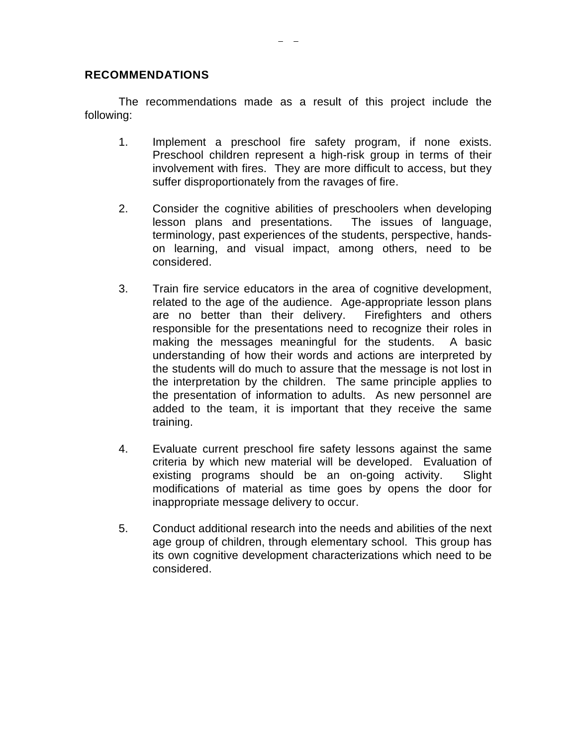### **RECOMMENDATIONS**

The recommendations made as a result of this project include the following:

- 1. Implement a preschool fire safety program, if none exists. Preschool children represent a high-risk group in terms of their involvement with fires. They are more difficult to access, but they suffer disproportionately from the ravages of fire.
- 2. Consider the cognitive abilities of preschoolers when developing lesson plans and presentations. The issues of language, terminology, past experiences of the students, perspective, handson learning, and visual impact, among others, need to be considered.
- 3. Train fire service educators in the area of cognitive development, related to the age of the audience. Age-appropriate lesson plans are no better than their delivery. Firefighters and others responsible for the presentations need to recognize their roles in making the messages meaningful for the students. A basic understanding of how their words and actions are interpreted by the students will do much to assure that the message is not lost in the interpretation by the children. The same principle applies to the presentation of information to adults. As new personnel are added to the team, it is important that they receive the same training.
- 4. Evaluate current preschool fire safety lessons against the same criteria by which new material will be developed. Evaluation of existing programs should be an on-going activity. Slight modifications of material as time goes by opens the door for inappropriate message delivery to occur.
- 5. Conduct additional research into the needs and abilities of the next age group of children, through elementary school. This group has its own cognitive development characterizations which need to be considered.